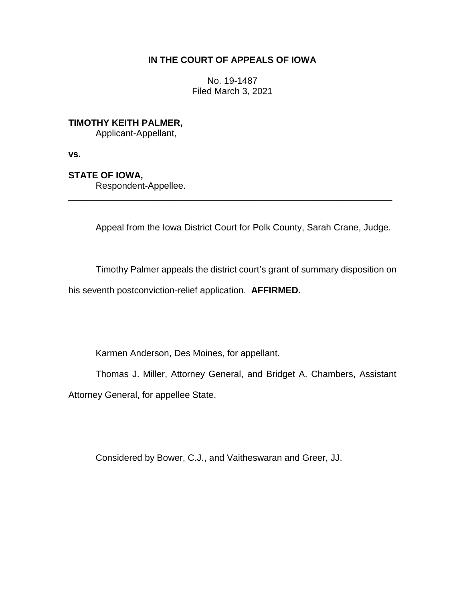## **IN THE COURT OF APPEALS OF IOWA**

No. 19-1487 Filed March 3, 2021

**TIMOTHY KEITH PALMER,**

Applicant-Appellant,

**vs.**

**STATE OF IOWA,**

Respondent-Appellee.

Appeal from the Iowa District Court for Polk County, Sarah Crane, Judge.

\_\_\_\_\_\_\_\_\_\_\_\_\_\_\_\_\_\_\_\_\_\_\_\_\_\_\_\_\_\_\_\_\_\_\_\_\_\_\_\_\_\_\_\_\_\_\_\_\_\_\_\_\_\_\_\_\_\_\_\_\_\_\_\_

Timothy Palmer appeals the district court's grant of summary disposition on

his seventh postconviction-relief application. **AFFIRMED.**

Karmen Anderson, Des Moines, for appellant.

Thomas J. Miller, Attorney General, and Bridget A. Chambers, Assistant Attorney General, for appellee State.

Considered by Bower, C.J., and Vaitheswaran and Greer, JJ.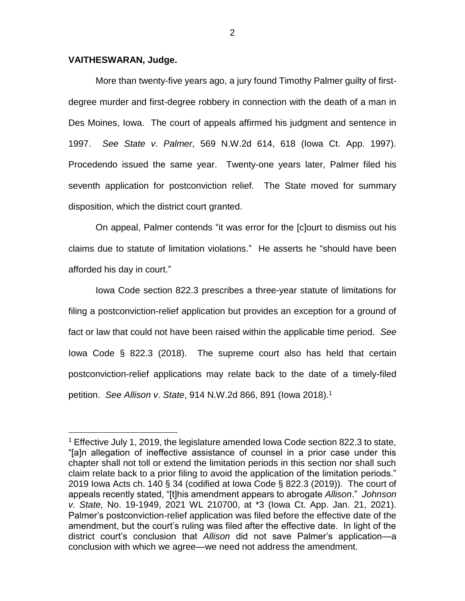## **VAITHESWARAN, Judge.**

 $\overline{a}$ 

More than twenty-five years ago, a jury found Timothy Palmer guilty of firstdegree murder and first-degree robbery in connection with the death of a man in Des Moines, Iowa. The court of appeals affirmed his judgment and sentence in 1997. *See State v*. *Palmer*, 569 N.W.2d 614, 618 (Iowa Ct. App. 1997). Procedendo issued the same year. Twenty-one years later, Palmer filed his seventh application for postconviction relief. The State moved for summary disposition, which the district court granted.

On appeal, Palmer contends "it was error for the [c]ourt to dismiss out his claims due to statute of limitation violations." He asserts he "should have been afforded his day in court."

Iowa Code section 822.3 prescribes a three-year statute of limitations for filing a postconviction-relief application but provides an exception for a ground of fact or law that could not have been raised within the applicable time period. *See*  Iowa Code § 822.3 (2018). The supreme court also has held that certain postconviction-relief applications may relate back to the date of a timely-filed petition. *See Allison v*. *State*, 914 N.W.2d 866, 891 (Iowa 2018).<sup>1</sup>

<sup>1</sup> Effective July 1, 2019, the legislature amended Iowa Code section 822.3 to state, "[a]n allegation of ineffective assistance of counsel in a prior case under this chapter shall not toll or extend the limitation periods in this section nor shall such claim relate back to a prior filing to avoid the application of the limitation periods." 2019 Iowa Acts ch. 140 § 34 (codified at Iowa Code § 822.3 (2019)). The court of appeals recently stated, "[t]his amendment appears to abrogate *Allison*." *Johnson v. State,* No. 19-1949, 2021 WL 210700, at \*3 (Iowa Ct. App. Jan. 21, 2021). Palmer's postconviction-relief application was filed before the effective date of the amendment, but the court's ruling was filed after the effective date. In light of the district court's conclusion that *Allison* did not save Palmer's application—a conclusion with which we agree—we need not address the amendment.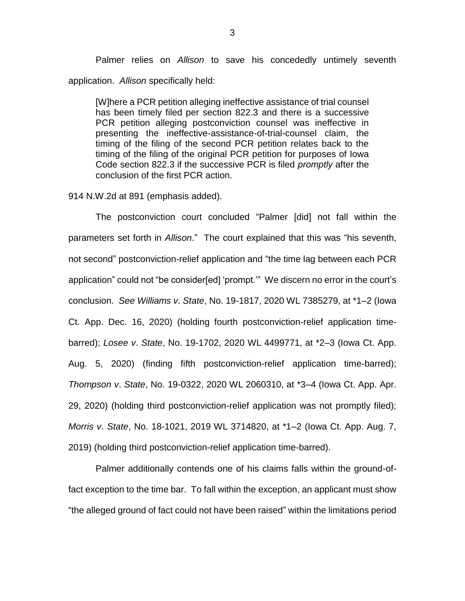Palmer relies on *Allison* to save his concededly untimely seventh application. *Allison* specifically held:

[W]here a PCR petition alleging ineffective assistance of trial counsel has been timely filed per section 822.3 and there is a successive PCR petition alleging postconviction counsel was ineffective in presenting the ineffective-assistance-of-trial-counsel claim, the timing of the filing of the second PCR petition relates back to the timing of the filing of the original PCR petition for purposes of Iowa Code section 822.3 if the successive PCR is filed *promptly* after the conclusion of the first PCR action.

914 N.W.2d at 891 (emphasis added).

The postconviction court concluded "Palmer [did] not fall within the parameters set forth in *Allison*." The court explained that this was "his seventh, not second" postconviction-relief application and "the time lag between each PCR application" could not "be consider[ed] 'prompt.'" We discern no error in the court's conclusion. *See Williams v*. *State*, No. 19-1817, 2020 WL 7385279, at \*1–2 (Iowa Ct. App. Dec. 16, 2020) (holding fourth postconviction-relief application timebarred); *Losee v*. *State*, No. 19-1702, 2020 WL 4499771, at \*2–3 (Iowa Ct. App. Aug. 5, 2020) (finding fifth postconviction-relief application time-barred); *Thompson v*. *State*, No. 19-0322, 2020 WL 2060310, at \*3–4 (Iowa Ct. App. Apr. 29, 2020) (holding third postconviction-relief application was not promptly filed); *Morris v*. *State*, No. 18-1021, 2019 WL 3714820, at \*1–2 (Iowa Ct. App. Aug. 7, 2019) (holding third postconviction-relief application time-barred).

Palmer additionally contends one of his claims falls within the ground-offact exception to the time bar. To fall within the exception, an applicant must show "the alleged ground of fact could not have been raised" within the limitations period

3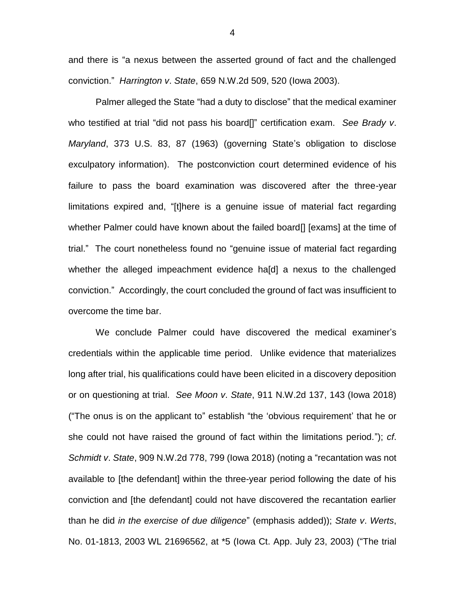and there is "a nexus between the asserted ground of fact and the challenged conviction." *Harrington v*. *State*, 659 N.W.2d 509, 520 (Iowa 2003).

Palmer alleged the State "had a duty to disclose" that the medical examiner who testified at trial "did not pass his board[]" certification exam. *See Brady v*. *Maryland*, 373 U.S. 83, 87 (1963) (governing State's obligation to disclose exculpatory information). The postconviction court determined evidence of his failure to pass the board examination was discovered after the three-year limitations expired and, "[t]here is a genuine issue of material fact regarding whether Palmer could have known about the failed board[] [exams] at the time of trial." The court nonetheless found no "genuine issue of material fact regarding whether the alleged impeachment evidence ha[d] a nexus to the challenged conviction." Accordingly, the court concluded the ground of fact was insufficient to overcome the time bar.

We conclude Palmer could have discovered the medical examiner's credentials within the applicable time period. Unlike evidence that materializes long after trial, his qualifications could have been elicited in a discovery deposition or on questioning at trial. *See Moon v*. *State*, 911 N.W.2d 137, 143 (Iowa 2018) ("The onus is on the applicant to" establish "the 'obvious requirement' that he or she could not have raised the ground of fact within the limitations period."); *cf*. *Schmidt v*. *State*, 909 N.W.2d 778, 799 (Iowa 2018) (noting a "recantation was not available to [the defendant] within the three-year period following the date of his conviction and [the defendant] could not have discovered the recantation earlier than he did *in the exercise of due diligence*" (emphasis added)); *State v*. *Werts*, No. 01-1813, 2003 WL 21696562, at \*5 (Iowa Ct. App. July 23, 2003) ("The trial

4